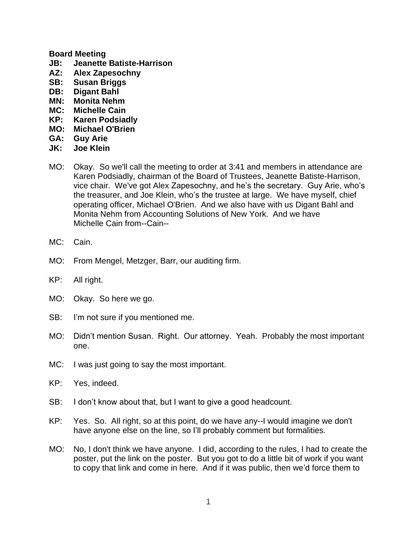## **Board Meeting**

- **JB: Jeanette Batiste-Harrison**
- **AZ: Alex Zapesochny**
- **SB: Susan Briggs**
- **DB: Digant Bahl**
- **MN: Monita Nehm**
- **MC: Michelle Cain**
- **KP: Karen Podsiadly**
- **MO: Michael O'Brien**
- **GA: Guy Arie**
- **JK: Joe Klein**
- MO: Okay. So we'll call the meeting to order at 3:41 and members in attendance are Karen Podsiadly, chairman of the Board of Trustees, Jeanette Batiste-Harrison, vice chair. We've got Alex Zapesochny, and he's the secretary. Guy Arie, who's the treasurer, and Joe Klein, who's the trustee at large. We have myself, chief operating officer, Michael O'Brien. And we also have with us Digant Bahl and Monita Nehm from Accounting Solutions of New York. And we have Michelle Cain from--Cain--
- MC: Cain.
- MO: From Mengel, Metzger, Barr, our auditing firm.
- KP: All right.
- MO: Okay. So here we go.
- SB: I'm not sure if you mentioned me.
- MO: Didn't mention Susan. Right. Our attorney. Yeah. Probably the most important one.
- MC: I was just going to say the most important.
- KP: Yes, indeed.
- SB: I don't know about that, but I want to give a good headcount.
- KP: Yes. So. All right, so at this point, do we have any--I would imagine we don't have anyone else on the line, so I'll probably comment but formalities.
- MO: No, I don't think we have anyone. I did, according to the rules, I had to create the poster, put the link on the poster. But you got to do a little bit of work if you want to copy that link and come in here. And if it was public, then we'd force them to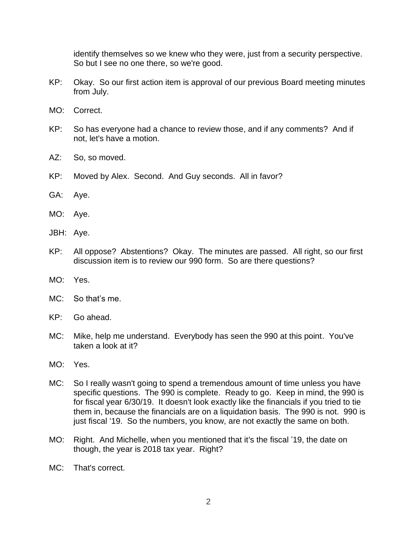identify themselves so we knew who they were, just from a security perspective. So but I see no one there, so we're good.

- KP: Okay. So our first action item is approval of our previous Board meeting minutes from July.
- MO: Correct.
- KP: So has everyone had a chance to review those, and if any comments? And if not, let's have a motion.
- AZ: So, so moved.
- KP: Moved by Alex. Second. And Guy seconds. All in favor?
- GA: Aye.
- MO: Aye.
- JBH: Aye.
- KP: All oppose? Abstentions? Okay. The minutes are passed. All right, so our first discussion item is to review our 990 form. So are there questions?
- MO: Yes.
- MC: So that's me.
- KP: Go ahead.
- MC: Mike, help me understand. Everybody has seen the 990 at this point. You've taken a look at it?
- MO: Yes.
- MC: So I really wasn't going to spend a tremendous amount of time unless you have specific questions. The 990 is complete. Ready to go. Keep in mind, the 990 is for fiscal year 6/30/19. It doesn't look exactly like the financials if you tried to tie them in, because the financials are on a liquidation basis. The 990 is not. 990 is just fiscal '19. So the numbers, you know, are not exactly the same on both.
- MO: Right. And Michelle, when you mentioned that it's the fiscal '19, the date on though, the year is 2018 tax year. Right?
- MC: That's correct.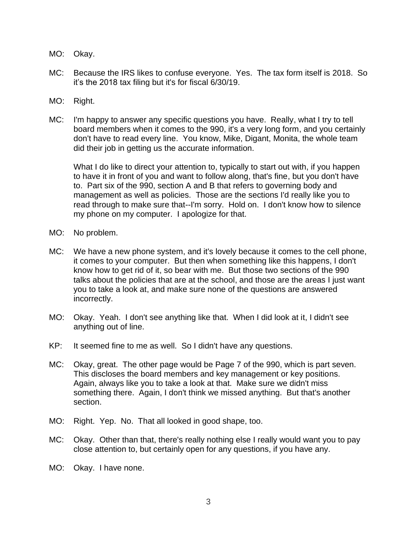- MO: Okay.
- MC: Because the IRS likes to confuse everyone. Yes. The tax form itself is 2018. So it's the 2018 tax filing but it's for fiscal 6/30/19.
- MO: Right.
- MC: I'm happy to answer any specific questions you have. Really, what I try to tell board members when it comes to the 990, it's a very long form, and you certainly don't have to read every line. You know, Mike, Digant, Monita, the whole team did their job in getting us the accurate information.

What I do like to direct your attention to, typically to start out with, if you happen to have it in front of you and want to follow along, that's fine, but you don't have to. Part six of the 990, section A and B that refers to governing body and management as well as policies. Those are the sections I'd really like you to read through to make sure that--I'm sorry. Hold on. I don't know how to silence my phone on my computer. I apologize for that.

- MO: No problem.
- MC: We have a new phone system, and it's lovely because it comes to the cell phone, it comes to your computer. But then when something like this happens, I don't know how to get rid of it, so bear with me. But those two sections of the 990 talks about the policies that are at the school, and those are the areas I just want you to take a look at, and make sure none of the questions are answered incorrectly.
- MO: Okay. Yeah. I don't see anything like that. When I did look at it, I didn't see anything out of line.
- KP: It seemed fine to me as well. So I didn't have any questions.
- MC: Okay, great. The other page would be Page 7 of the 990, which is part seven. This discloses the board members and key management or key positions. Again, always like you to take a look at that. Make sure we didn't miss something there. Again, I don't think we missed anything. But that's another section.
- MO: Right. Yep. No. That all looked in good shape, too.
- MC: Okay. Other than that, there's really nothing else I really would want you to pay close attention to, but certainly open for any questions, if you have any.
- MO: Okay. I have none.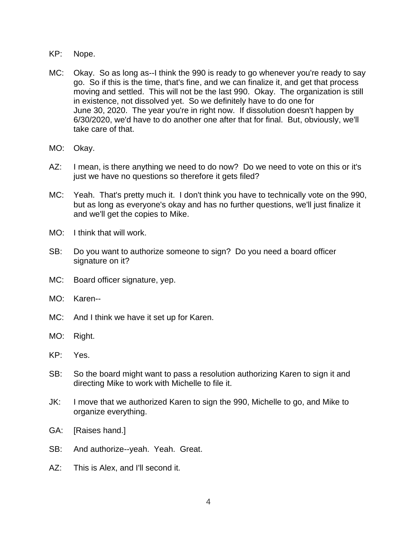- KP: Nope.
- MC: Okay. So as long as--I think the 990 is ready to go whenever you're ready to say go. So if this is the time, that's fine, and we can finalize it, and get that process moving and settled. This will not be the last 990. Okay. The organization is still in existence, not dissolved yet. So we definitely have to do one for June 30, 2020. The year you're in right now. If dissolution doesn't happen by 6/30/2020, we'd have to do another one after that for final. But, obviously, we'll take care of that.
- MO: Okay.
- AZ: I mean, is there anything we need to do now? Do we need to vote on this or it's just we have no questions so therefore it gets filed?
- MC: Yeah. That's pretty much it. I don't think you have to technically vote on the 990, but as long as everyone's okay and has no further questions, we'll just finalize it and we'll get the copies to Mike.
- MO: I think that will work.
- SB: Do you want to authorize someone to sign? Do you need a board officer signature on it?
- MC: Board officer signature, yep.
- MO: Karen--
- MC: And I think we have it set up for Karen.
- MO: Right.
- KP: Yes.
- SB: So the board might want to pass a resolution authorizing Karen to sign it and directing Mike to work with Michelle to file it.
- JK: I move that we authorized Karen to sign the 990, Michelle to go, and Mike to organize everything.
- GA: [Raises hand.]
- SB: And authorize--yeah. Yeah. Great.
- AZ: This is Alex, and I'll second it.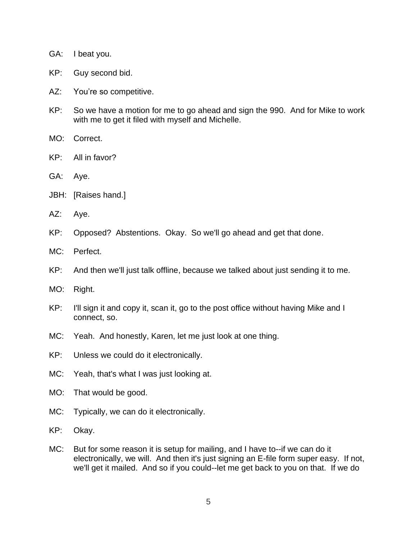- GA: I beat you.
- KP: Guy second bid.
- AZ: You're so competitive.
- KP: So we have a motion for me to go ahead and sign the 990. And for Mike to work with me to get it filed with myself and Michelle.
- MO: Correct.
- KP: All in favor?
- GA: Aye.
- JBH: [Raises hand.]
- AZ: Aye.
- KP: Opposed? Abstentions. Okay. So we'll go ahead and get that done.
- MC: Perfect.
- KP: And then we'll just talk offline, because we talked about just sending it to me.
- MO: Right.
- KP: I'll sign it and copy it, scan it, go to the post office without having Mike and I connect, so.
- MC: Yeah. And honestly, Karen, let me just look at one thing.
- KP: Unless we could do it electronically.
- MC: Yeah, that's what I was just looking at.
- MO: That would be good.
- MC: Typically, we can do it electronically.
- KP: Okay.
- MC: But for some reason it is setup for mailing, and I have to--if we can do it electronically, we will. And then it's just signing an E-file form super easy. If not, we'll get it mailed. And so if you could--let me get back to you on that. If we do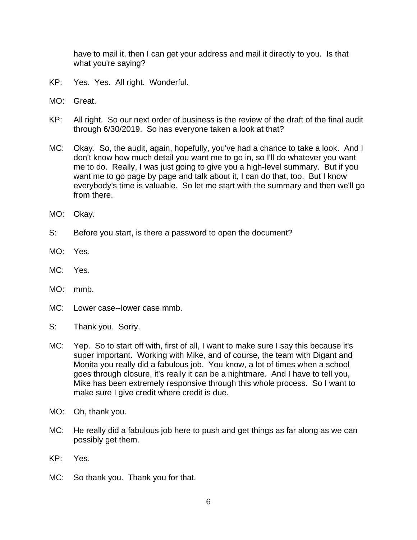have to mail it, then I can get your address and mail it directly to you. Is that what you're saying?

- KP: Yes. Yes. All right. Wonderful.
- MO: Great.
- KP: All right. So our next order of business is the review of the draft of the final audit through 6/30/2019. So has everyone taken a look at that?
- MC: Okay. So, the audit, again, hopefully, you've had a chance to take a look. And I don't know how much detail you want me to go in, so I'll do whatever you want me to do. Really, I was just going to give you a high-level summary. But if you want me to go page by page and talk about it, I can do that, too. But I know everybody's time is valuable. So let me start with the summary and then we'll go from there.
- MO: Okay.
- S: Before you start, is there a password to open the document?
- MO: Yes.
- MC: Yes.
- MO: mmb.
- MC: Lower case--lower case mmb.
- S: Thank you. Sorry.
- MC: Yep. So to start off with, first of all, I want to make sure I say this because it's super important. Working with Mike, and of course, the team with Digant and Monita you really did a fabulous job. You know, a lot of times when a school goes through closure, it's really it can be a nightmare. And I have to tell you, Mike has been extremely responsive through this whole process. So I want to make sure I give credit where credit is due.
- MO: Oh, thank you.
- MC: He really did a fabulous job here to push and get things as far along as we can possibly get them.
- KP: Yes.
- MC: So thank you. Thank you for that.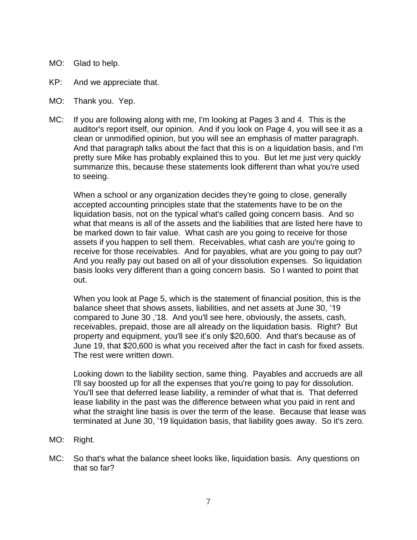- MO: Glad to help.
- KP: And we appreciate that.
- MO: Thank you. Yep.
- MC: If you are following along with me, I'm looking at Pages 3 and 4. This is the auditor's report itself, our opinion. And if you look on Page 4, you will see it as a clean or unmodified opinion, but you will see an emphasis of matter paragraph. And that paragraph talks about the fact that this is on a liquidation basis, and I'm pretty sure Mike has probably explained this to you. But let me just very quickly summarize this, because these statements look different than what you're used to seeing.

When a school or any organization decides they're going to close, generally accepted accounting principles state that the statements have to be on the liquidation basis, not on the typical what's called going concern basis. And so what that means is all of the assets and the liabilities that are listed here have to be marked down to fair value. What cash are you going to receive for those assets if you happen to sell them. Receivables, what cash are you're going to receive for those receivables. And for payables, what are you going to pay out? And you really pay out based on all of your dissolution expenses. So liquidation basis looks very different than a going concern basis. So I wanted to point that out.

When you look at Page 5, which is the statement of financial position, this is the balance sheet that shows assets, liabilities, and net assets at June 30, '19 compared to June 30 ,'18. And you'll see here, obviously, the assets, cash, receivables, prepaid, those are all already on the liquidation basis. Right? But property and equipment, you'll see it's only \$20,600. And that's because as of June 19, that \$20,600 is what you received after the fact in cash for fixed assets. The rest were written down.

Looking down to the liability section, same thing. Payables and accrueds are all I'll say boosted up for all the expenses that you're going to pay for dissolution. You'll see that deferred lease liability, a reminder of what that is. That deferred lease liability in the past was the difference between what you paid in rent and what the straight line basis is over the term of the lease. Because that lease was terminated at June 30, '19 liquidation basis, that liability goes away. So it's zero.

- MO: Right.
- MC: So that's what the balance sheet looks like, liquidation basis. Any questions on that so far?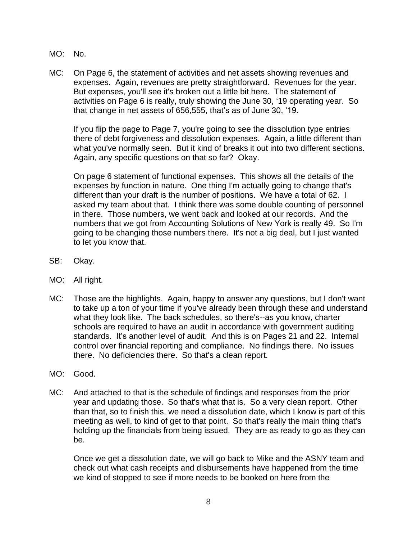- MO: No.
- MC: On Page 6, the statement of activities and net assets showing revenues and expenses. Again, revenues are pretty straightforward. Revenues for the year. But expenses, you'll see it's broken out a little bit here. The statement of activities on Page 6 is really, truly showing the June 30, '19 operating year. So that change in net assets of 656,555, that's as of June 30, '19.

If you flip the page to Page 7, you're going to see the dissolution type entries there of debt forgiveness and dissolution expenses. Again, a little different than what you've normally seen. But it kind of breaks it out into two different sections. Again, any specific questions on that so far? Okay.

On page 6 statement of functional expenses. This shows all the details of the expenses by function in nature. One thing I'm actually going to change that's different than your draft is the number of positions. We have a total of 62. I asked my team about that. I think there was some double counting of personnel in there. Those numbers, we went back and looked at our records. And the numbers that we got from Accounting Solutions of New York is really 49. So I'm going to be changing those numbers there. It's not a big deal, but I just wanted to let you know that.

- SB: Okay.
- MO: All right.
- MC: Those are the highlights. Again, happy to answer any questions, but I don't want to take up a ton of your time if you've already been through these and understand what they look like. The back schedules, so there's--as you know, charter schools are required to have an audit in accordance with government auditing standards. It's another level of audit. And this is on Pages 21 and 22. Internal control over financial reporting and compliance. No findings there. No issues there. No deficiencies there. So that's a clean report.
- MO: Good.
- MC: And attached to that is the schedule of findings and responses from the prior year and updating those. So that's what that is. So a very clean report. Other than that, so to finish this, we need a dissolution date, which I know is part of this meeting as well, to kind of get to that point. So that's really the main thing that's holding up the financials from being issued. They are as ready to go as they can be.

Once we get a dissolution date, we will go back to Mike and the ASNY team and check out what cash receipts and disbursements have happened from the time we kind of stopped to see if more needs to be booked on here from the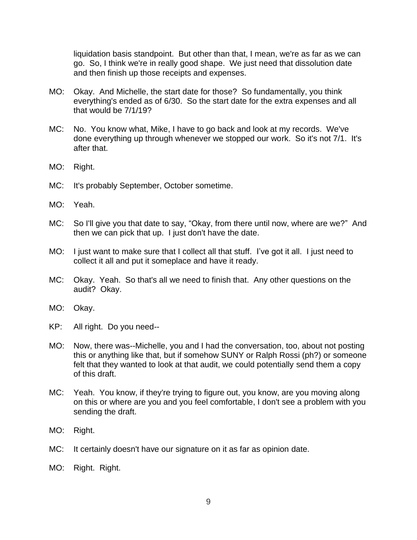liquidation basis standpoint. But other than that, I mean, we're as far as we can go. So, I think we're in really good shape. We just need that dissolution date and then finish up those receipts and expenses.

- MO: Okay. And Michelle, the start date for those? So fundamentally, you think everything's ended as of 6/30. So the start date for the extra expenses and all that would be 7/1/19?
- MC: No. You know what, Mike, I have to go back and look at my records. We've done everything up through whenever we stopped our work. So it's not 7/1. It's after that.
- MO: Right.
- MC: It's probably September, October sometime.
- MO: Yeah.
- MC: So I'll give you that date to say, "Okay, from there until now, where are we?" And then we can pick that up. I just don't have the date.
- MO: I just want to make sure that I collect all that stuff. I've got it all. I just need to collect it all and put it someplace and have it ready.
- MC: Okay. Yeah. So that's all we need to finish that. Any other questions on the audit? Okay.
- MO: Okay.
- KP: All right. Do you need--
- MO: Now, there was--Michelle, you and I had the conversation, too, about not posting this or anything like that, but if somehow SUNY or Ralph Rossi (ph?) or someone felt that they wanted to look at that audit, we could potentially send them a copy of this draft.
- MC: Yeah. You know, if they're trying to figure out, you know, are you moving along on this or where are you and you feel comfortable, I don't see a problem with you sending the draft.
- MO: Right.
- MC: It certainly doesn't have our signature on it as far as opinion date.
- MO: Right. Right.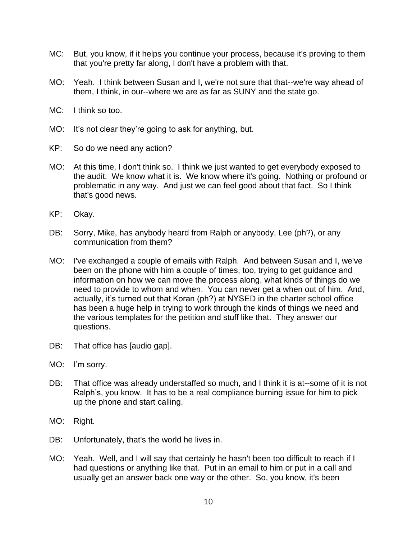- MC: But, you know, if it helps you continue your process, because it's proving to them that you're pretty far along, I don't have a problem with that.
- MO: Yeah. I think between Susan and I, we're not sure that that--we're way ahead of them, I think, in our--where we are as far as SUNY and the state go.
- MC: I think so too.
- MO: It's not clear they're going to ask for anything, but.
- KP: So do we need any action?
- MO: At this time, I don't think so. I think we just wanted to get everybody exposed to the audit. We know what it is. We know where it's going. Nothing or profound or problematic in any way. And just we can feel good about that fact. So I think that's good news.
- KP: Okay.
- DB: Sorry, Mike, has anybody heard from Ralph or anybody, Lee (ph?), or any communication from them?
- MO: I've exchanged a couple of emails with Ralph. And between Susan and I, we've been on the phone with him a couple of times, too, trying to get guidance and information on how we can move the process along, what kinds of things do we need to provide to whom and when. You can never get a when out of him. And, actually, it's turned out that Koran (ph?) at NYSED in the charter school office has been a huge help in trying to work through the kinds of things we need and the various templates for the petition and stuff like that. They answer our questions.
- DB: That office has [audio gap].
- MO: I'm sorry.
- DB: That office was already understaffed so much, and I think it is at--some of it is not Ralph's, you know. It has to be a real compliance burning issue for him to pick up the phone and start calling.
- MO: Right.
- DB: Unfortunately, that's the world he lives in.
- MO: Yeah. Well, and I will say that certainly he hasn't been too difficult to reach if I had questions or anything like that. Put in an email to him or put in a call and usually get an answer back one way or the other. So, you know, it's been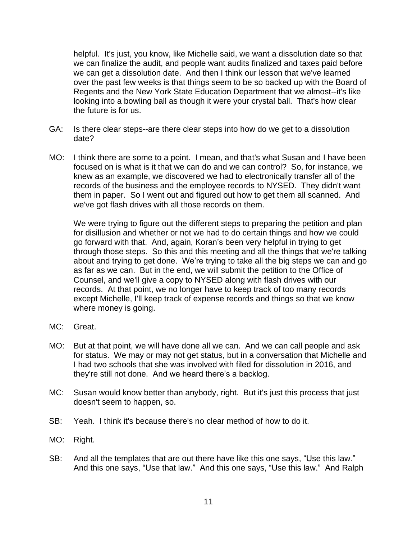helpful. It's just, you know, like Michelle said, we want a dissolution date so that we can finalize the audit, and people want audits finalized and taxes paid before we can get a dissolution date. And then I think our lesson that we've learned over the past few weeks is that things seem to be so backed up with the Board of Regents and the New York State Education Department that we almost--it's like looking into a bowling ball as though it were your crystal ball. That's how clear the future is for us.

- GA: Is there clear steps--are there clear steps into how do we get to a dissolution date?
- MO: I think there are some to a point. I mean, and that's what Susan and I have been focused on is what is it that we can do and we can control? So, for instance, we knew as an example, we discovered we had to electronically transfer all of the records of the business and the employee records to NYSED. They didn't want them in paper. So I went out and figured out how to get them all scanned. And we've got flash drives with all those records on them.

We were trying to figure out the different steps to preparing the petition and plan for disillusion and whether or not we had to do certain things and how we could go forward with that. And, again, Koran's been very helpful in trying to get through those steps. So this and this meeting and all the things that we're talking about and trying to get done. We're trying to take all the big steps we can and go as far as we can. But in the end, we will submit the petition to the Office of Counsel, and we'll give a copy to NYSED along with flash drives with our records. At that point, we no longer have to keep track of too many records except Michelle, I'll keep track of expense records and things so that we know where money is going.

- MC: Great.
- MO: But at that point, we will have done all we can. And we can call people and ask for status. We may or may not get status, but in a conversation that Michelle and I had two schools that she was involved with filed for dissolution in 2016, and they're still not done. And we heard there's a backlog.
- MC: Susan would know better than anybody, right. But it's just this process that just doesn't seem to happen, so.
- SB: Yeah. I think it's because there's no clear method of how to do it.
- MO: Right.
- SB: And all the templates that are out there have like this one says, "Use this law." And this one says, "Use that law." And this one says, "Use this law." And Ralph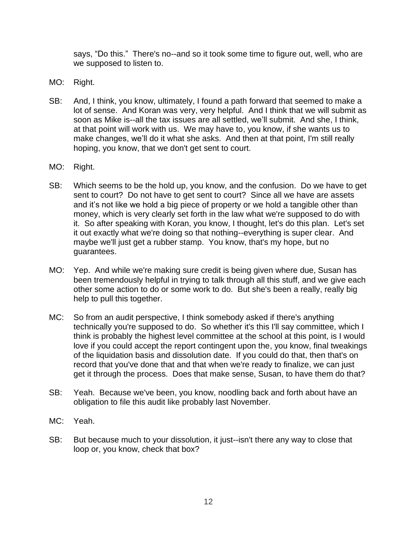says, "Do this." There's no--and so it took some time to figure out, well, who are we supposed to listen to.

- MO: Right.
- SB: And, I think, you know, ultimately, I found a path forward that seemed to make a lot of sense. And Koran was very, very helpful. And I think that we will submit as soon as Mike is--all the tax issues are all settled, we'll submit. And she, I think, at that point will work with us. We may have to, you know, if she wants us to make changes, we'll do it what she asks. And then at that point, I'm still really hoping, you know, that we don't get sent to court.
- MO: Right.
- SB: Which seems to be the hold up, you know, and the confusion. Do we have to get sent to court? Do not have to get sent to court? Since all we have are assets and it's not like we hold a big piece of property or we hold a tangible other than money, which is very clearly set forth in the law what we're supposed to do with it. So after speaking with Koran, you know, I thought, let's do this plan. Let's set it out exactly what we're doing so that nothing--everything is super clear. And maybe we'll just get a rubber stamp. You know, that's my hope, but no guarantees.
- MO: Yep. And while we're making sure credit is being given where due, Susan has been tremendously helpful in trying to talk through all this stuff, and we give each other some action to do or some work to do. But she's been a really, really big help to pull this together.
- MC: So from an audit perspective, I think somebody asked if there's anything technically you're supposed to do. So whether it's this I'll say committee, which I think is probably the highest level committee at the school at this point, is I would love if you could accept the report contingent upon the, you know, final tweakings of the liquidation basis and dissolution date. If you could do that, then that's on record that you've done that and that when we're ready to finalize, we can just get it through the process. Does that make sense, Susan, to have them do that?
- SB: Yeah. Because we've been, you know, noodling back and forth about have an obligation to file this audit like probably last November.
- MC: Yeah.
- SB: But because much to your dissolution, it just--isn't there any way to close that loop or, you know, check that box?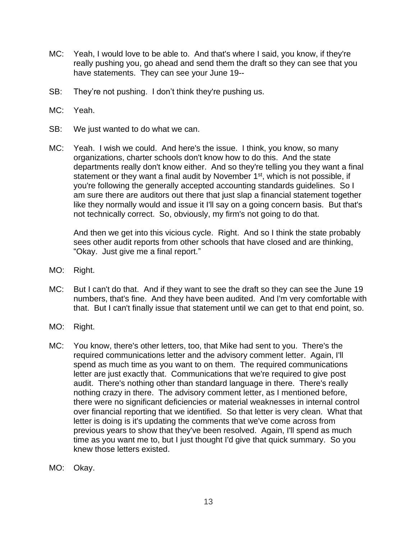- MC: Yeah, I would love to be able to. And that's where I said, you know, if they're really pushing you, go ahead and send them the draft so they can see that you have statements. They can see your June 19--
- SB: They're not pushing. I don't think they're pushing us.
- MC: Yeah.
- SB: We just wanted to do what we can.
- MC: Yeah. I wish we could. And here's the issue. I think, you know, so many organizations, charter schools don't know how to do this. And the state departments really don't know either. And so they're telling you they want a final statement or they want a final audit by November 1<sup>st</sup>, which is not possible, if you're following the generally accepted accounting standards guidelines. So I am sure there are auditors out there that just slap a financial statement together like they normally would and issue it I'll say on a going concern basis. But that's not technically correct. So, obviously, my firm's not going to do that.

And then we get into this vicious cycle. Right. And so I think the state probably sees other audit reports from other schools that have closed and are thinking, "Okay. Just give me a final report."

- MO: Right.
- MC: But I can't do that. And if they want to see the draft so they can see the June 19 numbers, that's fine. And they have been audited. And I'm very comfortable with that. But I can't finally issue that statement until we can get to that end point, so.
- MO: Right.
- MC: You know, there's other letters, too, that Mike had sent to you. There's the required communications letter and the advisory comment letter. Again, I'll spend as much time as you want to on them. The required communications letter are just exactly that. Communications that we're required to give post audit. There's nothing other than standard language in there. There's really nothing crazy in there. The advisory comment letter, as I mentioned before, there were no significant deficiencies or material weaknesses in internal control over financial reporting that we identified. So that letter is very clean. What that letter is doing is it's updating the comments that we've come across from previous years to show that they've been resolved. Again, I'll spend as much time as you want me to, but I just thought I'd give that quick summary. So you knew those letters existed.
- MO: Okay.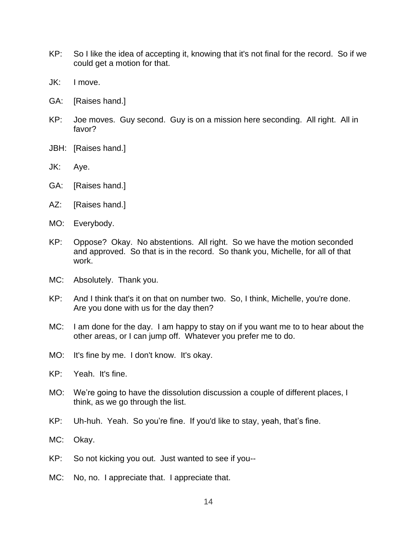- KP: So I like the idea of accepting it, knowing that it's not final for the record. So if we could get a motion for that.
- JK: I move.
- GA: [Raises hand.]
- KP: Joe moves. Guy second. Guy is on a mission here seconding. All right. All in favor?
- JBH: [Raises hand.]
- JK: Aye.
- GA: [Raises hand.]
- AZ: [Raises hand.]
- MO: Everybody.
- KP: Oppose? Okay. No abstentions. All right. So we have the motion seconded and approved. So that is in the record. So thank you, Michelle, for all of that work.
- MC: Absolutely. Thank you.
- KP: And I think that's it on that on number two. So, I think, Michelle, you're done. Are you done with us for the day then?
- MC: I am done for the day. I am happy to stay on if you want me to to hear about the other areas, or I can jump off. Whatever you prefer me to do.
- MO: It's fine by me. I don't know. It's okay.
- KP: Yeah. It's fine.
- MO: We're going to have the dissolution discussion a couple of different places, I think, as we go through the list.
- KP: Uh-huh. Yeah. So you're fine. If you'd like to stay, yeah, that's fine.
- MC: Okay.
- KP: So not kicking you out. Just wanted to see if you--
- MC: No, no. I appreciate that. I appreciate that.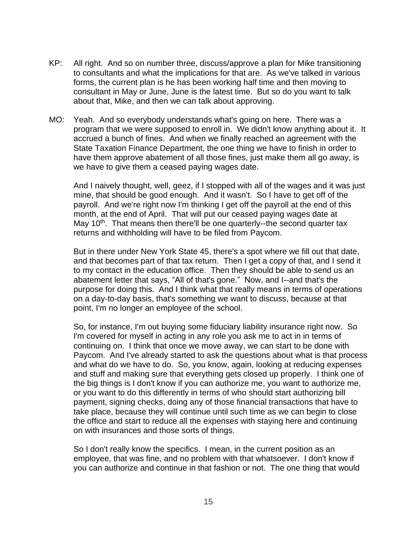- KP: All right. And so on number three, discuss/approve a plan for Mike transitioning to consultants and what the implications for that are. As we've talked in various forms, the current plan is he has been working half time and then moving to consultant in May or June, June is the latest time. But so do you want to talk about that, Mike, and then we can talk about approving.
- MO: Yeah. And so everybody understands what's going on here. There was a program that we were supposed to enroll in. We didn't know anything about it. It accrued a bunch of fines. And when we finally reached an agreement with the State Taxation Finance Department, the one thing we have to finish in order to have them approve abatement of all those fines, just make them all go away, is we have to give them a ceased paying wages date.

And I naively thought, well, geez, if I stopped with all of the wages and it was just mine, that should be good enough. And it wasn't. So I have to get off of the payroll. And we're right now I'm thinking I get off the payroll at the end of this month, at the end of April. That will put our ceased paying wages date at May 10<sup>th</sup>. That means then there'll be one quarterly--the second quarter tax returns and withholding will have to be filed from Paycom.

But in there under New York State 45, there's a spot where we fill out that date, and that becomes part of that tax return. Then I get a copy of that, and I send it to my contact in the education office. Then they should be able to send us an abatement letter that says, "All of that's gone." Now, and I--and that's the purpose for doing this. And I think what that really means in terms of operations on a day-to-day basis, that's something we want to discuss, because at that point, I'm no longer an employee of the school.

So, for instance, I'm out buying some fiduciary liability insurance right now. So I'm covered for myself in acting in any role you ask me to act in in terms of continuing on. I think that once we move away, we can start to be done with Paycom. And I've already started to ask the questions about what is that process and what do we have to do. So, you know, again, looking at reducing expenses and stuff and making sure that everything gets closed up properly. I think one of the big things is I don't know if you can authorize me, you want to authorize me, or you want to do this differently in terms of who should start authorizing bill payment, signing checks, doing any of those financial transactions that have to take place, because they will continue until such time as we can begin to close the office and start to reduce all the expenses with staying here and continuing on with insurances and those sorts of things.

So I don't really know the specifics. I mean, in the current position as an employee, that was fine, and no problem with that whatsoever. I don't know if you can authorize and continue in that fashion or not. The one thing that would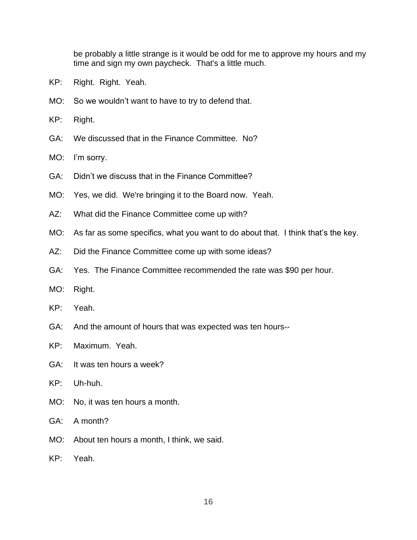be probably a little strange is it would be odd for me to approve my hours and my time and sign my own paycheck. That's a little much.

- KP: Right. Right. Yeah.
- MO: So we wouldn't want to have to try to defend that.
- KP: Right.
- GA: We discussed that in the Finance Committee. No?
- MO: I'm sorry.
- GA: Didn't we discuss that in the Finance Committee?
- MO: Yes, we did. We're bringing it to the Board now. Yeah.
- AZ: What did the Finance Committee come up with?
- MO: As far as some specifics, what you want to do about that. I think that's the key.
- AZ: Did the Finance Committee come up with some ideas?
- GA: Yes. The Finance Committee recommended the rate was \$90 per hour.
- MO: Right.
- KP: Yeah.
- GA: And the amount of hours that was expected was ten hours--
- KP: Maximum. Yeah.
- GA: It was ten hours a week?
- KP: Uh-huh.
- MO: No, it was ten hours a month.
- GA: A month?
- MO: About ten hours a month, I think, we said.
- KP: Yeah.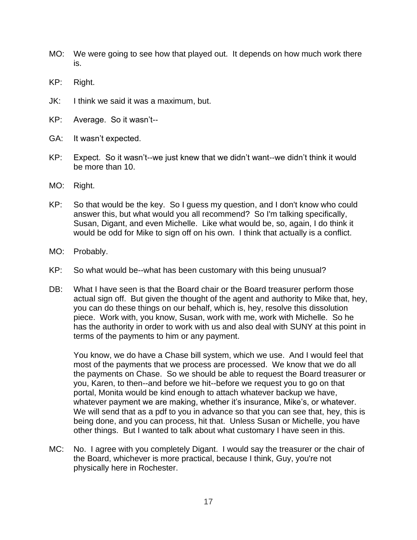- MO: We were going to see how that played out. It depends on how much work there is.
- KP: Right.
- JK: I think we said it was a maximum, but.
- KP: Average. So it wasn't--
- GA: It wasn't expected.
- KP: Expect. So it wasn't--we just knew that we didn't want--we didn't think it would be more than 10.
- MO: Right.
- KP: So that would be the key. So I guess my question, and I don't know who could answer this, but what would you all recommend? So I'm talking specifically, Susan, Digant, and even Michelle. Like what would be, so, again, I do think it would be odd for Mike to sign off on his own. I think that actually is a conflict.
- MO: Probably.
- KP: So what would be--what has been customary with this being unusual?
- DB: What I have seen is that the Board chair or the Board treasurer perform those actual sign off. But given the thought of the agent and authority to Mike that, hey, you can do these things on our behalf, which is, hey, resolve this dissolution piece. Work with, you know, Susan, work with me, work with Michelle. So he has the authority in order to work with us and also deal with SUNY at this point in terms of the payments to him or any payment.

You know, we do have a Chase bill system, which we use. And I would feel that most of the payments that we process are processed. We know that we do all the payments on Chase. So we should be able to request the Board treasurer or you, Karen, to then--and before we hit--before we request you to go on that portal, Monita would be kind enough to attach whatever backup we have, whatever payment we are making, whether it's insurance, Mike's, or whatever. We will send that as a pdf to you in advance so that you can see that, hey, this is being done, and you can process, hit that. Unless Susan or Michelle, you have other things. But I wanted to talk about what customary I have seen in this.

MC: No. I agree with you completely Digant. I would say the treasurer or the chair of the Board, whichever is more practical, because I think, Guy, you're not physically here in Rochester.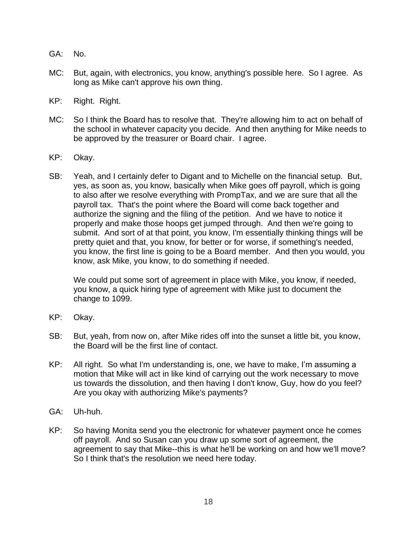- GA: No.
- MC: But, again, with electronics, you know, anything's possible here. So I agree. As long as Mike can't approve his own thing.
- KP: Right. Right.
- MC: So I think the Board has to resolve that. They're allowing him to act on behalf of the school in whatever capacity you decide. And then anything for Mike needs to be approved by the treasurer or Board chair. I agree.
- KP: Okay.
- SB: Yeah, and I certainly defer to Digant and to Michelle on the financial setup. But, yes, as soon as, you know, basically when Mike goes off payroll, which is going to also after we resolve everything with PrompTax, and we are sure that all the payroll tax. That's the point where the Board will come back together and authorize the signing and the filing of the petition. And we have to notice it properly and make those hoops get jumped through. And then we're going to submit. And sort of at that point, you know, I'm essentially thinking things will be pretty quiet and that, you know, for better or for worse, if something's needed, you know, the first line is going to be a Board member. And then you would, you know, ask Mike, you know, to do something if needed.

We could put some sort of agreement in place with Mike, you know, if needed, you know, a quick hiring type of agreement with Mike just to document the change to 1099.

- KP: Okay.
- SB: But, yeah, from now on, after Mike rides off into the sunset a little bit, you know, the Board will be the first line of contact.
- KP: All right. So what I'm understanding is, one, we have to make, I'm assuming a motion that Mike will act in like kind of carrying out the work necessary to move us towards the dissolution, and then having I don't know, Guy, how do you feel? Are you okay with authorizing Mike's payments?
- GA: Uh-huh.
- KP: So having Monita send you the electronic for whatever payment once he comes off payroll. And so Susan can you draw up some sort of agreement, the agreement to say that Mike--this is what he'll be working on and how we'll move? So I think that's the resolution we need here today.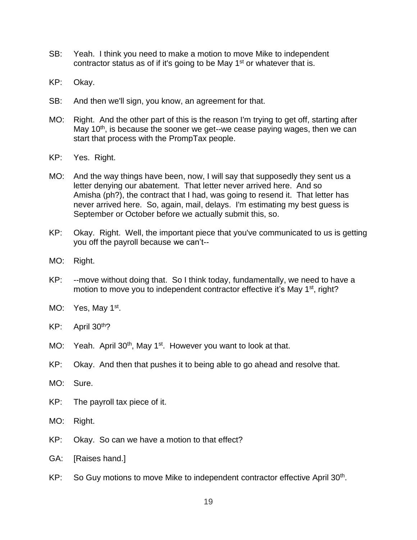- SB: Yeah. I think you need to make a motion to move Mike to independent contractor status as of if it's going to be May  $1<sup>st</sup>$  or whatever that is.
- KP: Okay.
- SB: And then we'll sign, you know, an agreement for that.
- MO: Right. And the other part of this is the reason I'm trying to get off, starting after May 10<sup>th</sup>, is because the sooner we get--we cease paying wages, then we can start that process with the PrompTax people.
- KP: Yes. Right.
- MO: And the way things have been, now, I will say that supposedly they sent us a letter denying our abatement. That letter never arrived here. And so Amisha (ph?), the contract that I had, was going to resend it. That letter has never arrived here. So, again, mail, delays. I'm estimating my best guess is September or October before we actually submit this, so.
- KP: Okay. Right. Well, the important piece that you've communicated to us is getting you off the payroll because we can't--
- MO: Right.
- KP: --move without doing that. So I think today, fundamentally, we need to have a motion to move you to independent contractor effective it's May 1<sup>st</sup>, right?
- MO: Yes, May 1<sup>st</sup>.
- KP: April 30th?
- MO: Yeah. April 30<sup>th</sup>, May 1<sup>st</sup>. However you want to look at that.
- KP: Okay. And then that pushes it to being able to go ahead and resolve that.
- MO: Sure.
- KP: The payroll tax piece of it.
- MO: Right.
- KP: Okay. So can we have a motion to that effect?
- GA: [Raises hand.]
- KP: So Guy motions to move Mike to independent contractor effective April 30<sup>th</sup>.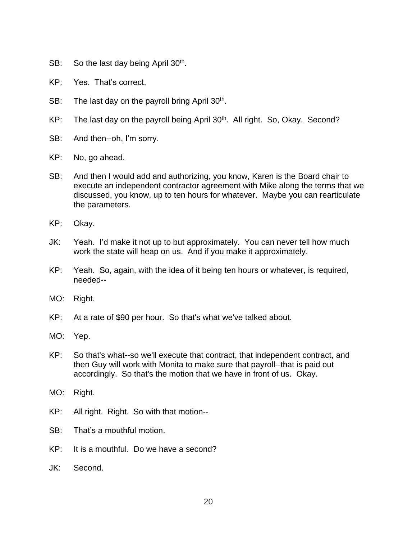- SB: So the last day being April 30<sup>th</sup>.
- KP: Yes. That's correct.
- SB: The last day on the payroll bring April 30<sup>th</sup>.
- KP: The last day on the payroll being April 30<sup>th</sup>. All right. So, Okay. Second?
- SB: And then--oh, I'm sorry.
- KP: No, go ahead.
- SB: And then I would add and authorizing, you know, Karen is the Board chair to execute an independent contractor agreement with Mike along the terms that we discussed, you know, up to ten hours for whatever. Maybe you can rearticulate the parameters.
- KP: Okay.
- JK: Yeah. I'd make it not up to but approximately. You can never tell how much work the state will heap on us. And if you make it approximately.
- KP: Yeah. So, again, with the idea of it being ten hours or whatever, is required, needed--
- MO: Right.
- KP: At a rate of \$90 per hour. So that's what we've talked about.
- MO: Yep.
- KP: So that's what--so we'll execute that contract, that independent contract, and then Guy will work with Monita to make sure that payroll--that is paid out accordingly. So that's the motion that we have in front of us. Okay.
- MO: Right.
- KP: All right. Right. So with that motion--
- SB: That's a mouthful motion.
- KP: It is a mouthful. Do we have a second?
- JK: Second.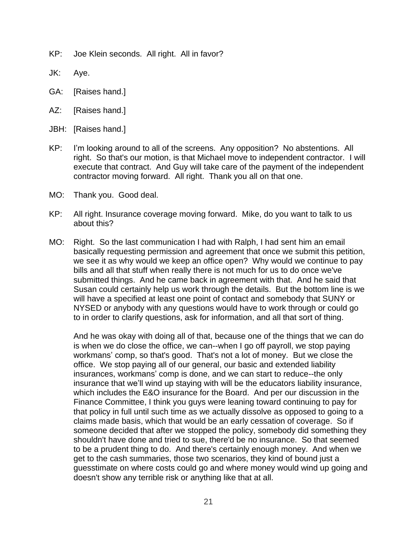- KP: Joe Klein seconds. All right. All in favor?
- JK: Aye.
- GA: [Raises hand.]
- AZ: [Raises hand.]
- JBH: [Raises hand.]
- KP: I'm looking around to all of the screens. Any opposition? No abstentions. All right. So that's our motion, is that Michael move to independent contractor. I will execute that contract. And Guy will take care of the payment of the independent contractor moving forward. All right. Thank you all on that one.
- MO: Thank you. Good deal.
- KP: All right. Insurance coverage moving forward. Mike, do you want to talk to us about this?
- MO: Right. So the last communication I had with Ralph, I had sent him an email basically requesting permission and agreement that once we submit this petition, we see it as why would we keep an office open? Why would we continue to pay bills and all that stuff when really there is not much for us to do once we've submitted things. And he came back in agreement with that. And he said that Susan could certainly help us work through the details. But the bottom line is we will have a specified at least one point of contact and somebody that SUNY or NYSED or anybody with any questions would have to work through or could go to in order to clarify questions, ask for information, and all that sort of thing.

And he was okay with doing all of that, because one of the things that we can do is when we do close the office, we can--when I go off payroll, we stop paying workmans' comp, so that's good. That's not a lot of money. But we close the office. We stop paying all of our general, our basic and extended liability insurances, workmans' comp is done, and we can start to reduce--the only insurance that we'll wind up staying with will be the educators liability insurance, which includes the E&O insurance for the Board. And per our discussion in the Finance Committee, I think you guys were leaning toward continuing to pay for that policy in full until such time as we actually dissolve as opposed to going to a claims made basis, which that would be an early cessation of coverage. So if someone decided that after we stopped the policy, somebody did something they shouldn't have done and tried to sue, there'd be no insurance. So that seemed to be a prudent thing to do. And there's certainly enough money. And when we get to the cash summaries, those two scenarios, they kind of bound just a guesstimate on where costs could go and where money would wind up going and doesn't show any terrible risk or anything like that at all.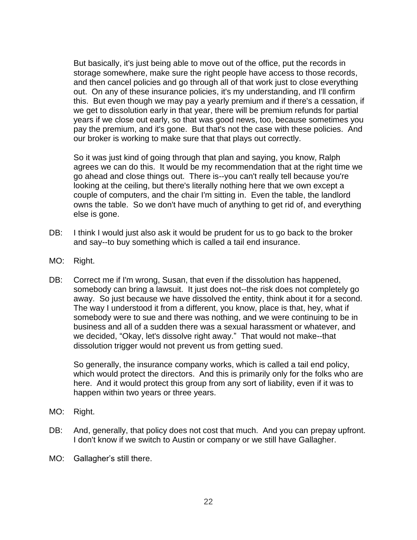But basically, it's just being able to move out of the office, put the records in storage somewhere, make sure the right people have access to those records, and then cancel policies and go through all of that work just to close everything out. On any of these insurance policies, it's my understanding, and I'll confirm this. But even though we may pay a yearly premium and if there's a cessation, if we get to dissolution early in that year, there will be premium refunds for partial years if we close out early, so that was good news, too, because sometimes you pay the premium, and it's gone. But that's not the case with these policies. And our broker is working to make sure that that plays out correctly.

So it was just kind of going through that plan and saying, you know, Ralph agrees we can do this. It would be my recommendation that at the right time we go ahead and close things out. There is--you can't really tell because you're looking at the ceiling, but there's literally nothing here that we own except a couple of computers, and the chair I'm sitting in. Even the table, the landlord owns the table. So we don't have much of anything to get rid of, and everything else is gone.

- DB: I think I would just also ask it would be prudent for us to go back to the broker and say--to buy something which is called a tail end insurance.
- MO: Right.
- DB: Correct me if I'm wrong, Susan, that even if the dissolution has happened, somebody can bring a lawsuit. It just does not--the risk does not completely go away. So just because we have dissolved the entity, think about it for a second. The way I understood it from a different, you know, place is that, hey, what if somebody were to sue and there was nothing, and we were continuing to be in business and all of a sudden there was a sexual harassment or whatever, and we decided, "Okay, let's dissolve right away." That would not make--that dissolution trigger would not prevent us from getting sued.

So generally, the insurance company works, which is called a tail end policy, which would protect the directors. And this is primarily only for the folks who are here. And it would protect this group from any sort of liability, even if it was to happen within two years or three years.

- MO: Right.
- DB: And, generally, that policy does not cost that much. And you can prepay upfront. I don't know if we switch to Austin or company or we still have Gallagher.
- MO: Gallagher's still there.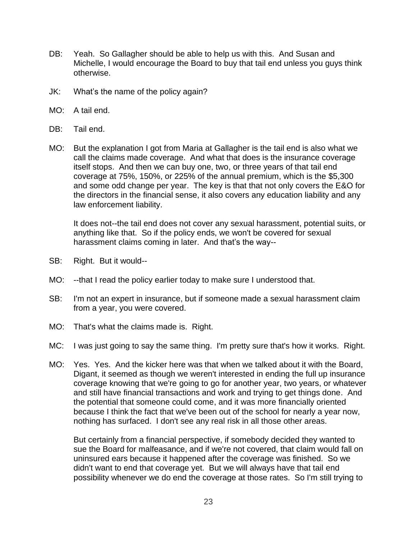- DB: Yeah. So Gallagher should be able to help us with this. And Susan and Michelle, I would encourage the Board to buy that tail end unless you guys think otherwise.
- JK: What's the name of the policy again?
- MO: A tail end.
- DB: Tail end.
- MO: But the explanation I got from Maria at Gallagher is the tail end is also what we call the claims made coverage. And what that does is the insurance coverage itself stops. And then we can buy one, two, or three years of that tail end coverage at 75%, 150%, or 225% of the annual premium, which is the \$5,300 and some odd change per year. The key is that that not only covers the E&O for the directors in the financial sense, it also covers any education liability and any law enforcement liability.

It does not--the tail end does not cover any sexual harassment, potential suits, or anything like that. So if the policy ends, we won't be covered for sexual harassment claims coming in later. And that's the way--

- SB: Right. But it would--
- MO: --that I read the policy earlier today to make sure I understood that.
- SB: I'm not an expert in insurance, but if someone made a sexual harassment claim from a year, you were covered.
- MO: That's what the claims made is. Right.
- MC: I was just going to say the same thing. I'm pretty sure that's how it works. Right.
- MO: Yes. Yes. And the kicker here was that when we talked about it with the Board, Digant, it seemed as though we weren't interested in ending the full up insurance coverage knowing that we're going to go for another year, two years, or whatever and still have financial transactions and work and trying to get things done. And the potential that someone could come, and it was more financially oriented because I think the fact that we've been out of the school for nearly a year now, nothing has surfaced. I don't see any real risk in all those other areas.

But certainly from a financial perspective, if somebody decided they wanted to sue the Board for malfeasance, and if we're not covered, that claim would fall on uninsured ears because it happened after the coverage was finished. So we didn't want to end that coverage yet. But we will always have that tail end possibility whenever we do end the coverage at those rates. So I'm still trying to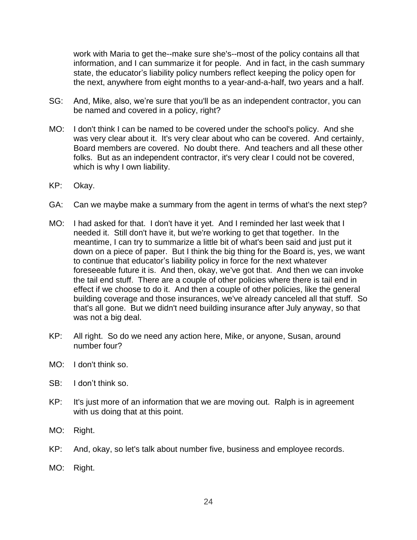work with Maria to get the--make sure she's--most of the policy contains all that information, and I can summarize it for people. And in fact, in the cash summary state, the educator's liability policy numbers reflect keeping the policy open for the next, anywhere from eight months to a year-and-a-half, two years and a half.

- SG: And, Mike, also, we're sure that you'll be as an independent contractor, you can be named and covered in a policy, right?
- MO: I don't think I can be named to be covered under the school's policy. And she was very clear about it. It's very clear about who can be covered. And certainly, Board members are covered. No doubt there. And teachers and all these other folks. But as an independent contractor, it's very clear I could not be covered, which is why I own liability.
- KP: Okay.
- GA: Can we maybe make a summary from the agent in terms of what's the next step?
- MO: I had asked for that. I don't have it yet. And I reminded her last week that I needed it. Still don't have it, but we're working to get that together. In the meantime, I can try to summarize a little bit of what's been said and just put it down on a piece of paper. But I think the big thing for the Board is, yes, we want to continue that educator's liability policy in force for the next whatever foreseeable future it is. And then, okay, we've got that. And then we can invoke the tail end stuff. There are a couple of other policies where there is tail end in effect if we choose to do it. And then a couple of other policies, like the general building coverage and those insurances, we've already canceled all that stuff. So that's all gone. But we didn't need building insurance after July anyway, so that was not a big deal.
- KP: All right. So do we need any action here, Mike, or anyone, Susan, around number four?
- MO: I don't think so.
- SB: I don't think so.
- KP: It's just more of an information that we are moving out. Ralph is in agreement with us doing that at this point.
- MO: Right.
- KP: And, okay, so let's talk about number five, business and employee records.
- MO: Right.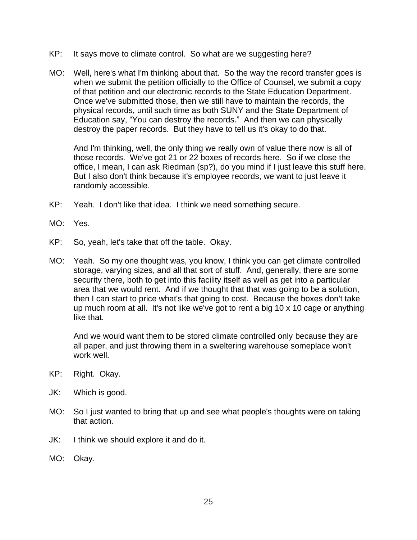- KP: It says move to climate control. So what are we suggesting here?
- MO: Well, here's what I'm thinking about that. So the way the record transfer goes is when we submit the petition officially to the Office of Counsel, we submit a copy of that petition and our electronic records to the State Education Department. Once we've submitted those, then we still have to maintain the records, the physical records, until such time as both SUNY and the State Department of Education say, "You can destroy the records." And then we can physically destroy the paper records. But they have to tell us it's okay to do that.

And I'm thinking, well, the only thing we really own of value there now is all of those records. We've got 21 or 22 boxes of records here. So if we close the office, I mean, I can ask Riedman (sp?), do you mind if I just leave this stuff here. But I also don't think because it's employee records, we want to just leave it randomly accessible.

- KP: Yeah. I don't like that idea. I think we need something secure.
- MO: Yes.
- KP: So, yeah, let's take that off the table. Okay.
- MO: Yeah. So my one thought was, you know, I think you can get climate controlled storage, varying sizes, and all that sort of stuff. And, generally, there are some security there, both to get into this facility itself as well as get into a particular area that we would rent. And if we thought that that was going to be a solution, then I can start to price what's that going to cost. Because the boxes don't take up much room at all. It's not like we've got to rent a big 10 x 10 cage or anything like that.

And we would want them to be stored climate controlled only because they are all paper, and just throwing them in a sweltering warehouse someplace won't work well.

- KP: Right. Okay.
- JK: Which is good.
- MO: So I just wanted to bring that up and see what people's thoughts were on taking that action.
- JK: I think we should explore it and do it.
- MO: Okay.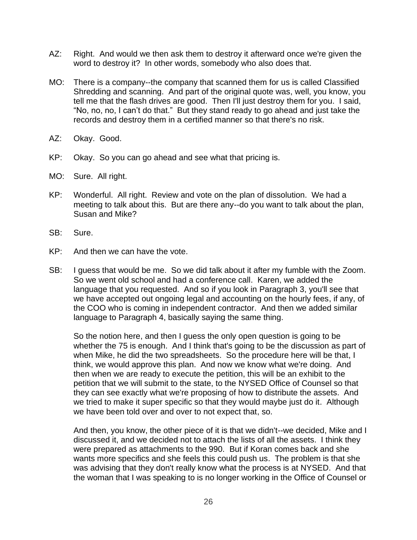- AZ: Right. And would we then ask them to destroy it afterward once we're given the word to destroy it? In other words, somebody who also does that.
- MO: There is a company--the company that scanned them for us is called Classified Shredding and scanning. And part of the original quote was, well, you know, you tell me that the flash drives are good. Then I'll just destroy them for you. I said, "No, no, no, I can't do that." But they stand ready to go ahead and just take the records and destroy them in a certified manner so that there's no risk.
- AZ: Okay. Good.
- KP: Okay. So you can go ahead and see what that pricing is.
- MO: Sure. All right.
- KP: Wonderful. All right. Review and vote on the plan of dissolution. We had a meeting to talk about this. But are there any--do you want to talk about the plan, Susan and Mike?
- SB: Sure.
- KP: And then we can have the vote.
- SB: I guess that would be me. So we did talk about it after my fumble with the Zoom. So we went old school and had a conference call. Karen, we added the language that you requested. And so if you look in Paragraph 3, you'll see that we have accepted out ongoing legal and accounting on the hourly fees, if any, of the COO who is coming in independent contractor. And then we added similar language to Paragraph 4, basically saying the same thing.

So the notion here, and then I guess the only open question is going to be whether the 75 is enough. And I think that's going to be the discussion as part of when Mike, he did the two spreadsheets. So the procedure here will be that, I think, we would approve this plan. And now we know what we're doing. And then when we are ready to execute the petition, this will be an exhibit to the petition that we will submit to the state, to the NYSED Office of Counsel so that they can see exactly what we're proposing of how to distribute the assets. And we tried to make it super specific so that they would maybe just do it. Although we have been told over and over to not expect that, so.

And then, you know, the other piece of it is that we didn't--we decided, Mike and I discussed it, and we decided not to attach the lists of all the assets. I think they were prepared as attachments to the 990. But if Koran comes back and she wants more specifics and she feels this could push us. The problem is that she was advising that they don't really know what the process is at NYSED. And that the woman that I was speaking to is no longer working in the Office of Counsel or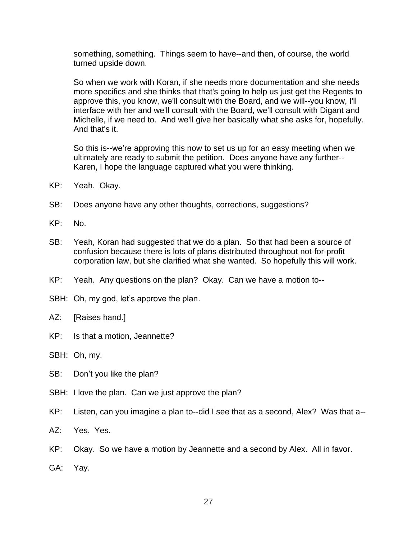something, something. Things seem to have--and then, of course, the world turned upside down.

So when we work with Koran, if she needs more documentation and she needs more specifics and she thinks that that's going to help us just get the Regents to approve this, you know, we'll consult with the Board, and we will--you know, I'll interface with her and we'll consult with the Board, we'll consult with Digant and Michelle, if we need to. And we'll give her basically what she asks for, hopefully. And that's it.

So this is--we're approving this now to set us up for an easy meeting when we ultimately are ready to submit the petition. Does anyone have any further-- Karen, I hope the language captured what you were thinking.

- KP: Yeah. Okay.
- SB: Does anyone have any other thoughts, corrections, suggestions?
- KP: No.
- SB: Yeah, Koran had suggested that we do a plan. So that had been a source of confusion because there is lots of plans distributed throughout not-for-profit corporation law, but she clarified what she wanted. So hopefully this will work.
- KP: Yeah. Any questions on the plan? Okay. Can we have a motion to--
- SBH: Oh, my god, let's approve the plan.
- AZ: [Raises hand.]
- KP: Is that a motion, Jeannette?
- SBH: Oh, my.
- SB: Don't you like the plan?
- SBH: I love the plan. Can we just approve the plan?
- KP: Listen, can you imagine a plan to--did I see that as a second, Alex? Was that a--
- AZ: Yes. Yes.
- KP: Okay. So we have a motion by Jeannette and a second by Alex. All in favor.
- GA: Yay.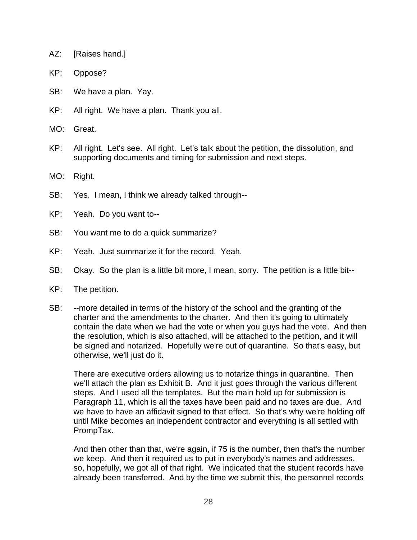- AZ: [Raises hand.]
- KP: Oppose?
- SB: We have a plan. Yay.
- KP: All right. We have a plan. Thank you all.
- MO: Great.
- KP: All right. Let's see. All right. Let's talk about the petition, the dissolution, and supporting documents and timing for submission and next steps.
- MO: Right.
- SB: Yes. I mean, I think we already talked through--
- KP: Yeah. Do you want to--
- SB: You want me to do a quick summarize?
- KP: Yeah. Just summarize it for the record. Yeah.
- SB: Okay. So the plan is a little bit more, I mean, sorry. The petition is a little bit--
- KP: The petition.
- SB: --more detailed in terms of the history of the school and the granting of the charter and the amendments to the charter. And then it's going to ultimately contain the date when we had the vote or when you guys had the vote. And then the resolution, which is also attached, will be attached to the petition, and it will be signed and notarized. Hopefully we're out of quarantine. So that's easy, but otherwise, we'll just do it.

There are executive orders allowing us to notarize things in quarantine. Then we'll attach the plan as Exhibit B. And it just goes through the various different steps. And I used all the templates. But the main hold up for submission is Paragraph 11, which is all the taxes have been paid and no taxes are due. And we have to have an affidavit signed to that effect. So that's why we're holding off until Mike becomes an independent contractor and everything is all settled with PrompTax.

And then other than that, we're again, if 75 is the number, then that's the number we keep. And then it required us to put in everybody's names and addresses, so, hopefully, we got all of that right. We indicated that the student records have already been transferred. And by the time we submit this, the personnel records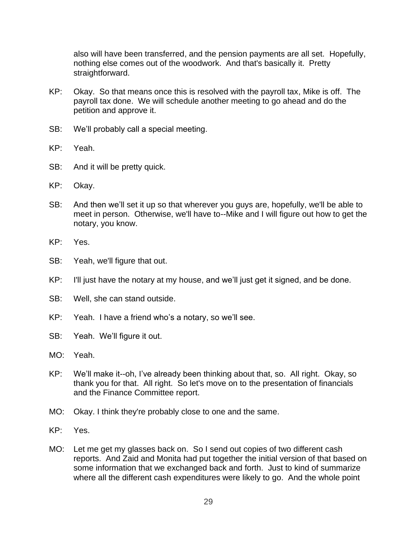also will have been transferred, and the pension payments are all set. Hopefully, nothing else comes out of the woodwork. And that's basically it. Pretty straightforward.

- KP: Okay. So that means once this is resolved with the payroll tax, Mike is off. The payroll tax done. We will schedule another meeting to go ahead and do the petition and approve it.
- SB: We'll probably call a special meeting.
- KP: Yeah.
- SB: And it will be pretty quick.
- KP: Okay.
- SB: And then we'll set it up so that wherever you guys are, hopefully, we'll be able to meet in person. Otherwise, we'll have to--Mike and I will figure out how to get the notary, you know.
- KP: Yes.
- SB: Yeah, we'll figure that out.
- KP: I'll just have the notary at my house, and we'll just get it signed, and be done.
- SB: Well, she can stand outside.
- KP: Yeah. I have a friend who's a notary, so we'll see.
- SB: Yeah. We'll figure it out.
- MO: Yeah.
- KP: We'll make it--oh, I've already been thinking about that, so. All right. Okay, so thank you for that. All right. So let's move on to the presentation of financials and the Finance Committee report.
- MO: Okay. I think they're probably close to one and the same.
- KP: Yes.
- MO: Let me get my glasses back on. So I send out copies of two different cash reports. And Zaid and Monita had put together the initial version of that based on some information that we exchanged back and forth. Just to kind of summarize where all the different cash expenditures were likely to go. And the whole point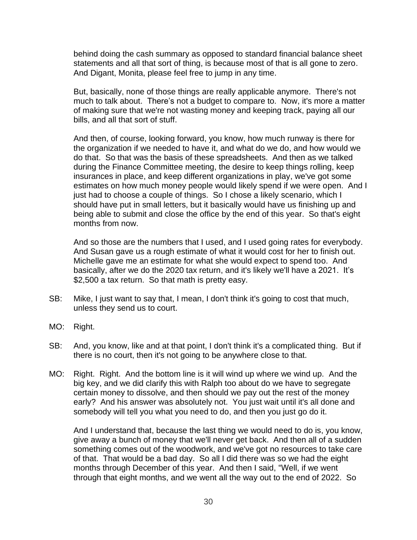behind doing the cash summary as opposed to standard financial balance sheet statements and all that sort of thing, is because most of that is all gone to zero. And Digant, Monita, please feel free to jump in any time.

But, basically, none of those things are really applicable anymore. There's not much to talk about. There's not a budget to compare to. Now, it's more a matter of making sure that we're not wasting money and keeping track, paying all our bills, and all that sort of stuff.

And then, of course, looking forward, you know, how much runway is there for the organization if we needed to have it, and what do we do, and how would we do that. So that was the basis of these spreadsheets. And then as we talked during the Finance Committee meeting, the desire to keep things rolling, keep insurances in place, and keep different organizations in play, we've got some estimates on how much money people would likely spend if we were open. And I just had to choose a couple of things. So I chose a likely scenario, which I should have put in small letters, but it basically would have us finishing up and being able to submit and close the office by the end of this year. So that's eight months from now.

And so those are the numbers that I used, and I used going rates for everybody. And Susan gave us a rough estimate of what it would cost for her to finish out. Michelle gave me an estimate for what she would expect to spend too. And basically, after we do the 2020 tax return, and it's likely we'll have a 2021. It's \$2,500 a tax return. So that math is pretty easy.

- SB: Mike, I just want to say that, I mean, I don't think it's going to cost that much, unless they send us to court.
- MO: Right.
- SB: And, you know, like and at that point, I don't think it's a complicated thing. But if there is no court, then it's not going to be anywhere close to that.
- MO: Right. Right. And the bottom line is it will wind up where we wind up. And the big key, and we did clarify this with Ralph too about do we have to segregate certain money to dissolve, and then should we pay out the rest of the money early? And his answer was absolutely not. You just wait until it's all done and somebody will tell you what you need to do, and then you just go do it.

And I understand that, because the last thing we would need to do is, you know, give away a bunch of money that we'll never get back. And then all of a sudden something comes out of the woodwork, and we've got no resources to take care of that. That would be a bad day. So all I did there was so we had the eight months through December of this year. And then I said, "Well, if we went through that eight months, and we went all the way out to the end of 2022. So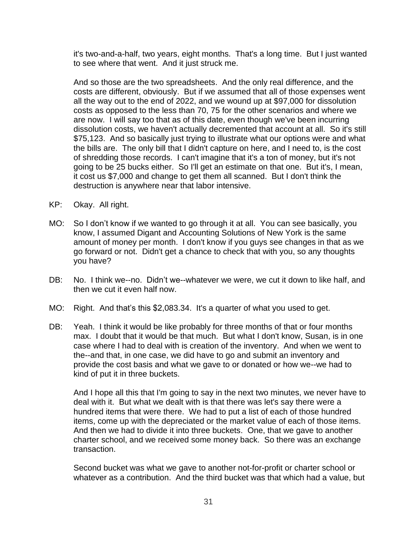it's two-and-a-half, two years, eight months. That's a long time. But I just wanted to see where that went. And it just struck me.

And so those are the two spreadsheets. And the only real difference, and the costs are different, obviously. But if we assumed that all of those expenses went all the way out to the end of 2022, and we wound up at \$97,000 for dissolution costs as opposed to the less than 70, 75 for the other scenarios and where we are now. I will say too that as of this date, even though we've been incurring dissolution costs, we haven't actually decremented that account at all. So it's still \$75,123. And so basically just trying to illustrate what our options were and what the bills are. The only bill that I didn't capture on here, and I need to, is the cost of shredding those records. I can't imagine that it's a ton of money, but it's not going to be 25 bucks either. So I'll get an estimate on that one. But it's, I mean, it cost us \$7,000 and change to get them all scanned. But I don't think the destruction is anywhere near that labor intensive.

- KP: Okay. All right.
- MO: So I don't know if we wanted to go through it at all. You can see basically, you know, I assumed Digant and Accounting Solutions of New York is the same amount of money per month. I don't know if you guys see changes in that as we go forward or not. Didn't get a chance to check that with you, so any thoughts you have?
- DB: No. I think we--no. Didn't we--whatever we were, we cut it down to like half, and then we cut it even half now.
- MO: Right. And that's this \$2,083.34. It's a quarter of what you used to get.
- DB: Yeah. I think it would be like probably for three months of that or four months max. I doubt that it would be that much. But what I don't know, Susan, is in one case where I had to deal with is creation of the inventory. And when we went to the--and that, in one case, we did have to go and submit an inventory and provide the cost basis and what we gave to or donated or how we--we had to kind of put it in three buckets.

And I hope all this that I'm going to say in the next two minutes, we never have to deal with it. But what we dealt with is that there was let's say there were a hundred items that were there. We had to put a list of each of those hundred items, come up with the depreciated or the market value of each of those items. And then we had to divide it into three buckets. One, that we gave to another charter school, and we received some money back. So there was an exchange transaction.

Second bucket was what we gave to another not-for-profit or charter school or whatever as a contribution. And the third bucket was that which had a value, but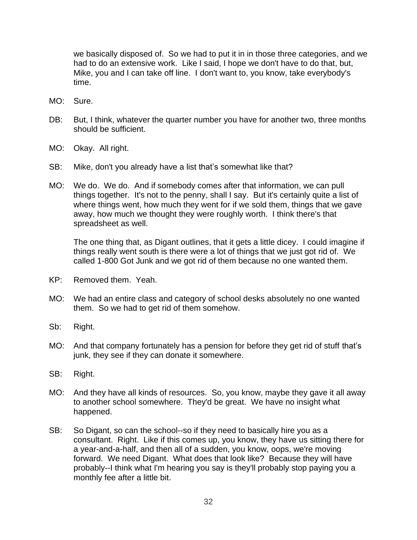we basically disposed of. So we had to put it in in those three categories, and we had to do an extensive work. Like I said, I hope we don't have to do that, but, Mike, you and I can take off line. I don't want to, you know, take everybody's time.

- MO: Sure.
- DB: But, I think, whatever the quarter number you have for another two, three months should be sufficient.
- MO: Okay. All right.
- SB: Mike, don't you already have a list that's somewhat like that?
- MO: We do. We do. And if somebody comes after that information, we can pull things together. It's not to the penny, shall I say. But it's certainly quite a list of where things went, how much they went for if we sold them, things that we gave away, how much we thought they were roughly worth. I think there's that spreadsheet as well.

The one thing that, as Digant outlines, that it gets a little dicey. I could imagine if things really went south is there were a lot of things that we just got rid of. We called 1-800 Got Junk and we got rid of them because no one wanted them.

- KP: Removed them. Yeah.
- MO: We had an entire class and category of school desks absolutely no one wanted them. So we had to get rid of them somehow.
- Sb: Right.
- MO: And that company fortunately has a pension for before they get rid of stuff that's junk, they see if they can donate it somewhere.
- SB: Right.
- MO: And they have all kinds of resources. So, you know, maybe they gave it all away to another school somewhere. They'd be great. We have no insight what happened.
- SB: So Digant, so can the school--so if they need to basically hire you as a consultant. Right. Like if this comes up, you know, they have us sitting there for a year-and-a-half, and then all of a sudden, you know, oops, we're moving forward. We need Digant. What does that look like? Because they will have probably--I think what I'm hearing you say is they'll probably stop paying you a monthly fee after a little bit.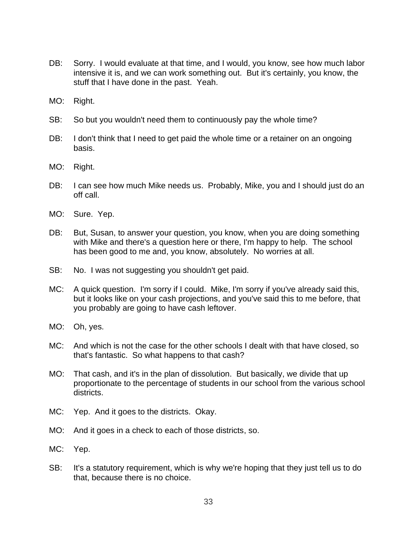- DB: Sorry. I would evaluate at that time, and I would, you know, see how much labor intensive it is, and we can work something out. But it's certainly, you know, the stuff that I have done in the past. Yeah.
- MO: Right.
- SB: So but you wouldn't need them to continuously pay the whole time?
- DB: I don't think that I need to get paid the whole time or a retainer on an ongoing basis.
- MO: Right.
- DB: I can see how much Mike needs us. Probably, Mike, you and I should just do an off call.
- MO: Sure. Yep.
- DB: But, Susan, to answer your question, you know, when you are doing something with Mike and there's a question here or there, I'm happy to help. The school has been good to me and, you know, absolutely. No worries at all.
- SB: No. I was not suggesting you shouldn't get paid.
- MC: A quick question. I'm sorry if I could. Mike, I'm sorry if you've already said this, but it looks like on your cash projections, and you've said this to me before, that you probably are going to have cash leftover.
- MO: Oh, yes.
- MC: And which is not the case for the other schools I dealt with that have closed, so that's fantastic. So what happens to that cash?
- MO: That cash, and it's in the plan of dissolution. But basically, we divide that up proportionate to the percentage of students in our school from the various school districts.
- MC: Yep. And it goes to the districts. Okay.
- MO: And it goes in a check to each of those districts, so.
- MC: Yep.
- SB: It's a statutory requirement, which is why we're hoping that they just tell us to do that, because there is no choice.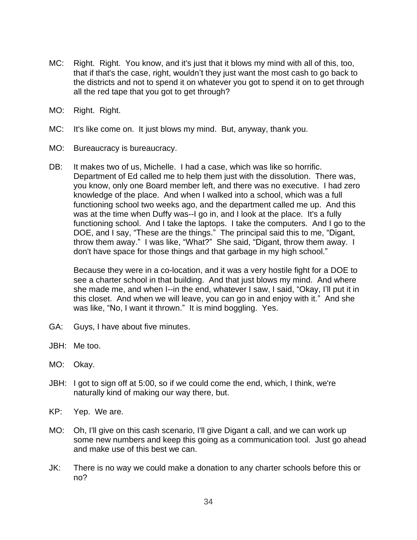- MC: Right. Right. You know, and it's just that it blows my mind with all of this, too, that if that's the case, right, wouldn't they just want the most cash to go back to the districts and not to spend it on whatever you got to spend it on to get through all the red tape that you got to get through?
- MO: Right. Right.
- MC: It's like come on. It just blows my mind. But, anyway, thank you.
- MO: Bureaucracy is bureaucracy.
- DB: It makes two of us, Michelle. I had a case, which was like so horrific. Department of Ed called me to help them just with the dissolution. There was, you know, only one Board member left, and there was no executive. I had zero knowledge of the place. And when I walked into a school, which was a full functioning school two weeks ago, and the department called me up. And this was at the time when Duffy was--I go in, and I look at the place. It's a fully functioning school. And I take the laptops. I take the computers. And I go to the DOE, and I say, "These are the things." The principal said this to me, "Digant, throw them away." I was like, "What?" She said, "Digant, throw them away. I don't have space for those things and that garbage in my high school."

Because they were in a co-location, and it was a very hostile fight for a DOE to see a charter school in that building. And that just blows my mind. And where she made me, and when I--in the end, whatever I saw, I said, "Okay, I'll put it in this closet. And when we will leave, you can go in and enjoy with it." And she was like, "No, I want it thrown." It is mind boggling. Yes.

- GA: Guys, I have about five minutes.
- JBH: Me too.
- MO: Okay.
- JBH: I got to sign off at 5:00, so if we could come the end, which, I think, we're naturally kind of making our way there, but.
- KP: Yep. We are.
- MO: Oh, I'll give on this cash scenario, I'll give Digant a call, and we can work up some new numbers and keep this going as a communication tool. Just go ahead and make use of this best we can.
- JK: There is no way we could make a donation to any charter schools before this or no?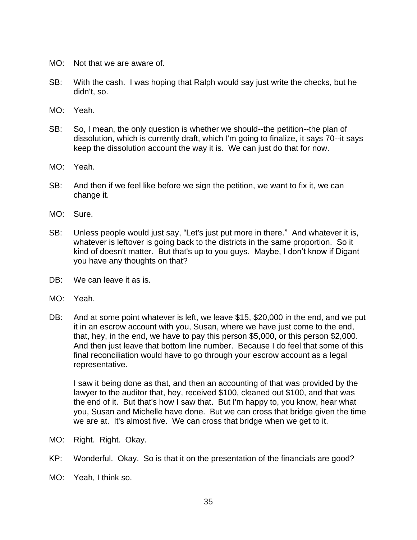- MO: Not that we are aware of.
- SB: With the cash. I was hoping that Ralph would say just write the checks, but he didn't, so.
- MO: Yeah.
- SB: So, I mean, the only question is whether we should--the petition--the plan of dissolution, which is currently draft, which I'm going to finalize, it says 70--it says keep the dissolution account the way it is. We can just do that for now.
- MO: Yeah.
- SB: And then if we feel like before we sign the petition, we want to fix it, we can change it.
- MO: Sure.
- SB: Unless people would just say, "Let's just put more in there." And whatever it is, whatever is leftover is going back to the districts in the same proportion. So it kind of doesn't matter. But that's up to you guys. Maybe, I don't know if Digant you have any thoughts on that?
- DB: We can leave it as is.
- MO: Yeah.
- DB: And at some point whatever is left, we leave \$15, \$20,000 in the end, and we put it in an escrow account with you, Susan, where we have just come to the end, that, hey, in the end, we have to pay this person \$5,000, or this person \$2,000. And then just leave that bottom line number. Because I do feel that some of this final reconciliation would have to go through your escrow account as a legal representative.

I saw it being done as that, and then an accounting of that was provided by the lawyer to the auditor that, hey, received \$100, cleaned out \$100, and that was the end of it. But that's how I saw that. But I'm happy to, you know, hear what you, Susan and Michelle have done. But we can cross that bridge given the time we are at. It's almost five. We can cross that bridge when we get to it.

- MO: Right. Right. Okay.
- KP: Wonderful. Okay. So is that it on the presentation of the financials are good?
- MO: Yeah, I think so.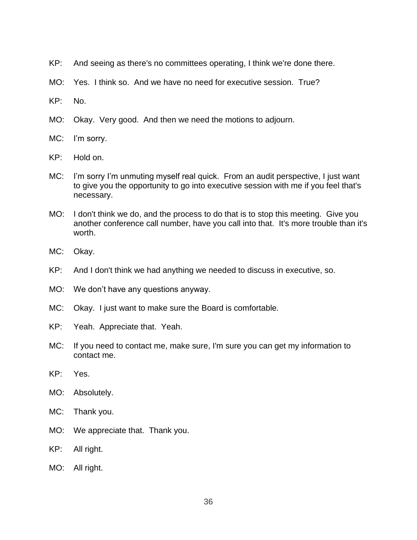- KP: And seeing as there's no committees operating, I think we're done there.
- MO: Yes. I think so. And we have no need for executive session. True?
- KP: No.
- MO: Okay. Very good. And then we need the motions to adjourn.
- MC: I'm sorry.
- KP: Hold on.
- MC: I'm sorry I'm unmuting myself real quick. From an audit perspective, I just want to give you the opportunity to go into executive session with me if you feel that's necessary.
- MO: I don't think we do, and the process to do that is to stop this meeting. Give you another conference call number, have you call into that. It's more trouble than it's worth.
- MC: Okay.
- KP: And I don't think we had anything we needed to discuss in executive, so.
- MO: We don't have any questions anyway.
- MC: Okay. I just want to make sure the Board is comfortable.
- KP: Yeah. Appreciate that. Yeah.
- MC: If you need to contact me, make sure, I'm sure you can get my information to contact me.
- KP: Yes.
- MO: Absolutely.
- MC: Thank you.
- MO: We appreciate that. Thank you.
- KP: All right.
- MO: All right.